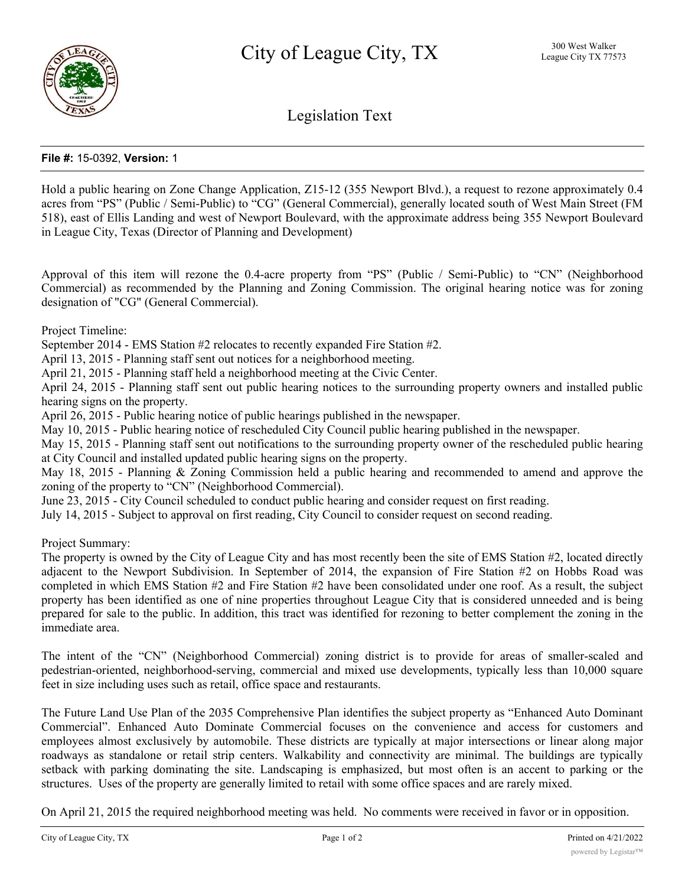

Legislation Text

## **File #:** 15-0392, **Version:** 1

Hold a public hearing on Zone Change Application, Z15-12 (355 Newport Blvd.), a request to rezone approximately 0.4 acres from "PS" (Public / Semi-Public) to "CG" (General Commercial), generally located south of West Main Street (FM 518), east of Ellis Landing and west of Newport Boulevard, with the approximate address being 355 Newport Boulevard in League City, Texas (Director of Planning and Development)

Approval of this item will rezone the 0.4-acre property from "PS" (Public / Semi-Public) to "CN" (Neighborhood Commercial) as recommended by the Planning and Zoning Commission. The original hearing notice was for zoning designation of "CG" (General Commercial).

Project Timeline:

September 2014 - EMS Station #2 relocates to recently expanded Fire Station #2.

April 13, 2015 - Planning staff sent out notices for a neighborhood meeting.

April 21, 2015 - Planning staff held a neighborhood meeting at the Civic Center.

April 24, 2015 - Planning staff sent out public hearing notices to the surrounding property owners and installed public hearing signs on the property.

April 26, 2015 - Public hearing notice of public hearings published in the newspaper.

May 10, 2015 - Public hearing notice of rescheduled City Council public hearing published in the newspaper.

May 15, 2015 - Planning staff sent out notifications to the surrounding property owner of the rescheduled public hearing at City Council and installed updated public hearing signs on the property.

May 18, 2015 - Planning & Zoning Commission held a public hearing and recommended to amend and approve the zoning of the property to "CN" (Neighborhood Commercial).

June 23, 2015 - City Council scheduled to conduct public hearing and consider request on first reading.

July 14, 2015 - Subject to approval on first reading, City Council to consider request on second reading.

Project Summary:

The property is owned by the City of League City and has most recently been the site of EMS Station #2, located directly adjacent to the Newport Subdivision. In September of 2014, the expansion of Fire Station #2 on Hobbs Road was completed in which EMS Station #2 and Fire Station #2 have been consolidated under one roof. As a result, the subject property has been identified as one of nine properties throughout League City that is considered unneeded and is being prepared for sale to the public. In addition, this tract was identified for rezoning to better complement the zoning in the immediate area.

The intent of the "CN" (Neighborhood Commercial) zoning district is to provide for areas of smaller-scaled and pedestrian-oriented, neighborhood-serving, commercial and mixed use developments, typically less than 10,000 square feet in size including uses such as retail, office space and restaurants.

The Future Land Use Plan of the 2035 Comprehensive Plan identifies the subject property as "Enhanced Auto Dominant Commercial". Enhanced Auto Dominate Commercial focuses on the convenience and access for customers and employees almost exclusively by automobile. These districts are typically at major intersections or linear along major roadways as standalone or retail strip centers. Walkability and connectivity are minimal. The buildings are typically setback with parking dominating the site. Landscaping is emphasized, but most often is an accent to parking or the structures. Uses of the property are generally limited to retail with some office spaces and are rarely mixed.

On April 21, 2015 the required neighborhood meeting was held. No comments were received in favor or in opposition.